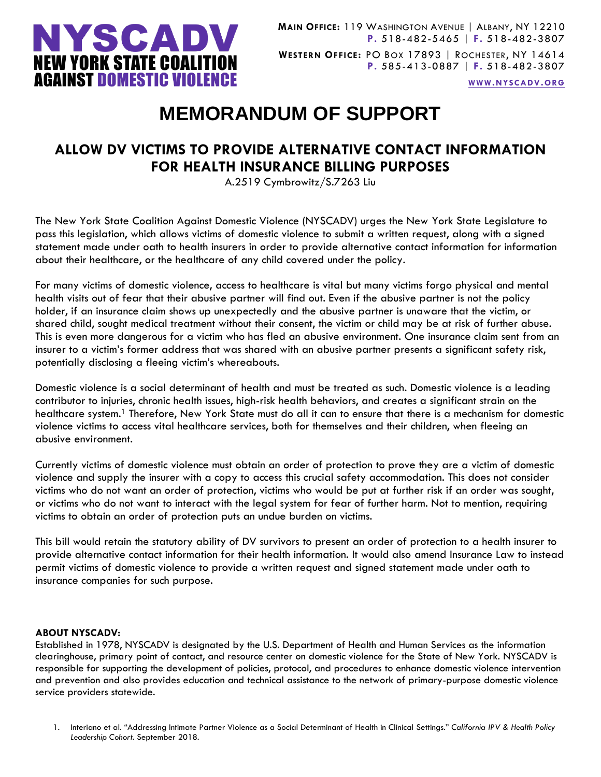

**WWW.[NYSCADV](file://///server/data/Official%20Documents/NYSCADV%20Logo%20&%20Branding/2015%20Letterhead/www.nyscadv.org).ORG**

## **MEMORANDUM OF SUPPORT**

## **ALLOW DV VICTIMS TO PROVIDE ALTERNATIVE CONTACT INFORMATION FOR HEALTH INSURANCE BILLING PURPOSES**

A.2519 Cymbrowitz/S.7263 Liu

The New York State Coalition Against Domestic Violence (NYSCADV) urges the New York State Legislature to pass this legislation, which allows victims of domestic violence to submit a written request, along with a signed statement made under oath to health insurers in order to provide alternative contact information for information about their healthcare, or the healthcare of any child covered under the policy.

For many victims of domestic violence, access to healthcare is vital but many victims forgo physical and mental health visits out of fear that their abusive partner will find out. Even if the abusive partner is not the policy holder, if an insurance claim shows up unexpectedly and the abusive partner is unaware that the victim, or shared child, sought medical treatment without their consent, the victim or child may be at risk of further abuse. This is even more dangerous for a victim who has fled an abusive environment. One insurance claim sent from an insurer to a victim's former address that was shared with an abusive partner presents a significant safety risk, potentially disclosing a fleeing victim's whereabouts.

Domestic violence is a social determinant of health and must be treated as such. Domestic violence is a leading contributor to injuries, chronic health issues, high-risk health behaviors, and creates a significant strain on the healthcare system. <sup>1</sup> Therefore, New York State must do all it can to ensure that there is a mechanism for domestic violence victims to access vital healthcare services, both for themselves and their children, when fleeing an abusive environment.

Currently victims of domestic violence must obtain an order of protection to prove they are a victim of domestic violence and supply the insurer with a copy to access this crucial safety accommodation. This does not consider victims who do not want an order of protection, victims who would be put at further risk if an order was sought, or victims who do not want to interact with the legal system for fear of further harm. Not to mention, requiring victims to obtain an order of protection puts an undue burden on victims.

This bill would retain the statutory ability of DV survivors to present an order of protection to a health insurer to provide alternative contact information for their health information. It would also amend Insurance Law to instead permit victims of domestic violence to provide a written request and signed statement made under oath to insurance companies for such purpose.

## **ABOUT NYSCADV:**

Established in 1978, NYSCADV is designated by the U.S. Department of Health and Human Services as the information clearinghouse, primary point of contact, and resource center on domestic violence for the State of New York. NYSCADV is responsible for supporting the development of policies, protocol, and procedures to enhance domestic violence intervention and prevention and also provides education and technical assistance to the network of primary-purpose domestic violence service providers statewide.

1. Interiano et al. "Addressing Intimate Partner Violence as a Social Determinant of Health in Clinical Settings." *California IPV & Health Policy Leadership Cohort.* September 2018.